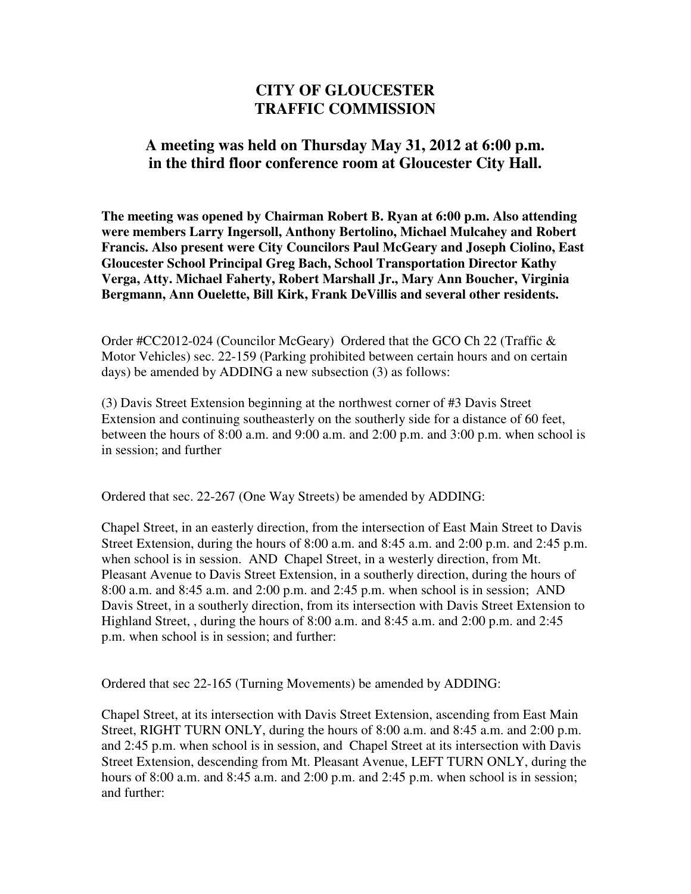## **CITY OF GLOUCESTER TRAFFIC COMMISSION**

## **A meeting was held on Thursday May 31, 2012 at 6:00 p.m. in the third floor conference room at Gloucester City Hall.**

**The meeting was opened by Chairman Robert B. Ryan at 6:00 p.m. Also attending were members Larry Ingersoll, Anthony Bertolino, Michael Mulcahey and Robert Francis. Also present were City Councilors Paul McGeary and Joseph Ciolino, East Gloucester School Principal Greg Bach, School Transportation Director Kathy Verga, Atty. Michael Faherty, Robert Marshall Jr., Mary Ann Boucher, Virginia Bergmann, Ann Ouelette, Bill Kirk, Frank DeVillis and several other residents.** 

Order #CC2012-024 (Councilor McGeary) Ordered that the GCO Ch 22 (Traffic & Motor Vehicles) sec. 22-159 (Parking prohibited between certain hours and on certain days) be amended by ADDING a new subsection (3) as follows:

(3) Davis Street Extension beginning at the northwest corner of #3 Davis Street Extension and continuing southeasterly on the southerly side for a distance of 60 feet, between the hours of 8:00 a.m. and 9:00 a.m. and 2:00 p.m. and 3:00 p.m. when school is in session; and further

Ordered that sec. 22-267 (One Way Streets) be amended by ADDING:

Chapel Street, in an easterly direction, from the intersection of East Main Street to Davis Street Extension, during the hours of 8:00 a.m. and 8:45 a.m. and 2:00 p.m. and 2:45 p.m. when school is in session. AND Chapel Street, in a westerly direction, from Mt. Pleasant Avenue to Davis Street Extension, in a southerly direction, during the hours of 8:00 a.m. and 8:45 a.m. and 2:00 p.m. and 2:45 p.m. when school is in session; AND Davis Street, in a southerly direction, from its intersection with Davis Street Extension to Highland Street, , during the hours of 8:00 a.m. and 8:45 a.m. and 2:00 p.m. and 2:45 p.m. when school is in session; and further:

Ordered that sec 22-165 (Turning Movements) be amended by ADDING:

Chapel Street, at its intersection with Davis Street Extension, ascending from East Main Street, RIGHT TURN ONLY, during the hours of 8:00 a.m. and 8:45 a.m. and 2:00 p.m. and 2:45 p.m. when school is in session, and Chapel Street at its intersection with Davis Street Extension, descending from Mt. Pleasant Avenue, LEFT TURN ONLY, during the hours of 8:00 a.m. and 8:45 a.m. and 2:00 p.m. and 2:45 p.m. when school is in session; and further: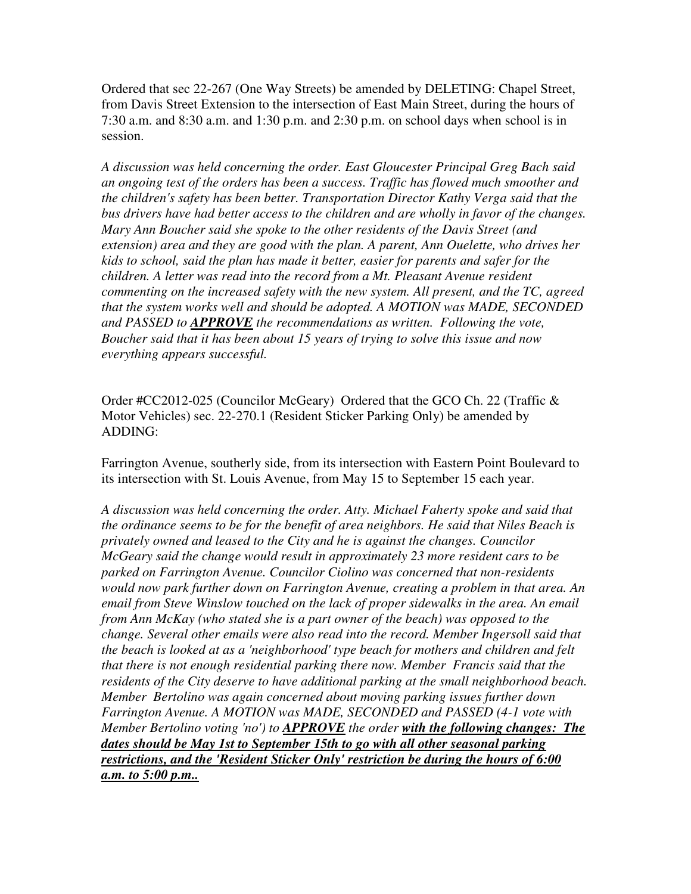Ordered that sec 22-267 (One Way Streets) be amended by DELETING: Chapel Street, from Davis Street Extension to the intersection of East Main Street, during the hours of 7:30 a.m. and 8:30 a.m. and 1:30 p.m. and 2:30 p.m. on school days when school is in session.

*A discussion was held concerning the order. East Gloucester Principal Greg Bach said an ongoing test of the orders has been a success. Traffic has flowed much smoother and the children's safety has been better. Transportation Director Kathy Verga said that the bus drivers have had better access to the children and are wholly in favor of the changes. Mary Ann Boucher said she spoke to the other residents of the Davis Street (and extension) area and they are good with the plan. A parent, Ann Ouelette, who drives her kids to school, said the plan has made it better, easier for parents and safer for the children. A letter was read into the record from a Mt. Pleasant Avenue resident commenting on the increased safety with the new system. All present, and the TC, agreed that the system works well and should be adopted. A MOTION was MADE, SECONDED and PASSED to APPROVE the recommendations as written. Following the vote, Boucher said that it has been about 15 years of trying to solve this issue and now everything appears successful.* 

Order #CC2012-025 (Councilor McGeary) Ordered that the GCO Ch. 22 (Traffic & Motor Vehicles) sec. 22-270.1 (Resident Sticker Parking Only) be amended by ADDING:

Farrington Avenue, southerly side, from its intersection with Eastern Point Boulevard to its intersection with St. Louis Avenue, from May 15 to September 15 each year.

*A discussion was held concerning the order. Atty. Michael Faherty spoke and said that the ordinance seems to be for the benefit of area neighbors. He said that Niles Beach is privately owned and leased to the City and he is against the changes. Councilor McGeary said the change would result in approximately 23 more resident cars to be parked on Farrington Avenue. Councilor Ciolino was concerned that non-residents would now park further down on Farrington Avenue, creating a problem in that area. An email from Steve Winslow touched on the lack of proper sidewalks in the area. An email from Ann McKay (who stated she is a part owner of the beach) was opposed to the change. Several other emails were also read into the record. Member Ingersoll said that the beach is looked at as a 'neighborhood' type beach for mothers and children and felt that there is not enough residential parking there now. Member Francis said that the residents of the City deserve to have additional parking at the small neighborhood beach. Member Bertolino was again concerned about moving parking issues further down Farrington Avenue. A MOTION was MADE, SECONDED and PASSED (4-1 vote with Member Bertolino voting 'no') to APPROVE the order with the following changes: The dates should be May 1st to September 15th to go with all other seasonal parking restrictions, and the 'Resident Sticker Only' restriction be during the hours of 6:00 a.m. to 5:00 p.m..*